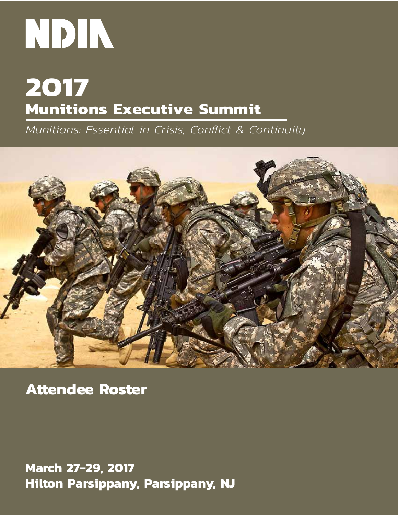## **2017 Munitions Executive Summit**

*Munitions: Essential in Crisis, Conflict & Continuity*



**Attendee Roster**

**March 27-29, 2017 Hilton Parsippany, Parsippany, NJ**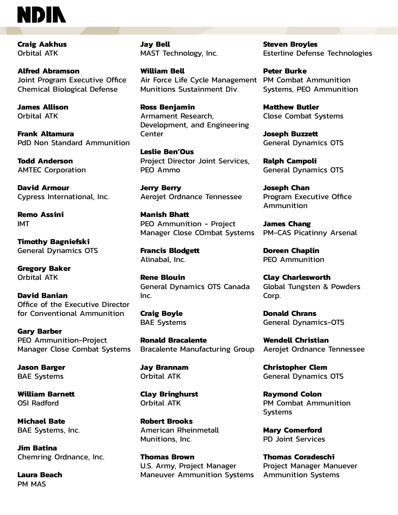**Craig Aakhus**  Orbital ATK

**Alfred Abramson**  Joint Program Executive Office Chemical Biological Defense

**James Allison**  Orbital ATK

**Frank Altamura**  PdD Non Standard Ammunition

**Todd Anderson**  AMTEC Corporation

**David Armour**  Cypress International, Inc.

**Remo Assini**  IMT

**Timothy Bagniefski**  General Dynamics OTS

**Gregory Baker**  Orbital ATK

**David Banian**  Office of the Executive Director for Conventional Ammunition

**Gary Barber**  PEO Ammunition-Project Manager Close Combat Systems

**Jason Barger**  BAE Systems

**William Barnett**  OSI Radford

**Michael Bate**  BAE Systems, Inc.

**Jim Batina**  Chemring Ordnance, Inc.

**Laura Beach**  PM MAS

**Jay Bell**  MAST Technology, Inc.

**William Bell**  Air Force Life Cycle Management PM Combat Ammunition Munitions Sustainment Div.

**Ross Benjamin**  Armament Research, Development, and Engineering Center

**Leslie Ben'Ous**  Project Director Joint Services, PEO Ammo

**Jerry Berry**  Aerojet Ordnance Tennessee

**Manish Bhatt**  PEO Ammunition - Project Manager Close COmbat Systems

**Francis Blodgett**  Alinabal, Inc.

**Rene Blouin**  General Dynamics OTS Canada Inc.

**Craig Boyle**  BAE Systems

**Ronald Bracalente**  Bracalente Manufacturing Group

**Jay Brannam**  Orbital ATK

**Clay Bringhurst**  Orbital ATK

**Robert Brooks**  American Rheinmetall Munitions, Inc.

**Thomas Brown**  U.S. Army, Project Manager Maneuver Ammunition Systems **Steven Broyles**  Esterline Defense Technologies

**Peter Burke**  Systems, PEO Ammunition

**Matthew Butler**  Close Combat Systems

**Joseph Buzzett**  General Dynamics OTS

**Ralph Campoli**  General Dynamics OTS

**Joseph Chan**  Program Executive Office Ammunition

**James Chang**  PM-CAS Picatinny Arsenal

**Doreen Chaplin**  PEO Ammunition

**Clay Charlesworth**  Global Tungsten & Powders Corp.

**Donald Chrans**  General Dynamics-OTS

**Wendell Christian**  Aerojet Ordnance Tennessee

**Christopher Clem**  General Dynamics OTS

**Raymond Colon**  PM Combat Ammunition **Systems** 

**Mary Comerford**  PD Joint Services

**Thomas Coradeschi**  Project Manager Manuever Ammunition Systems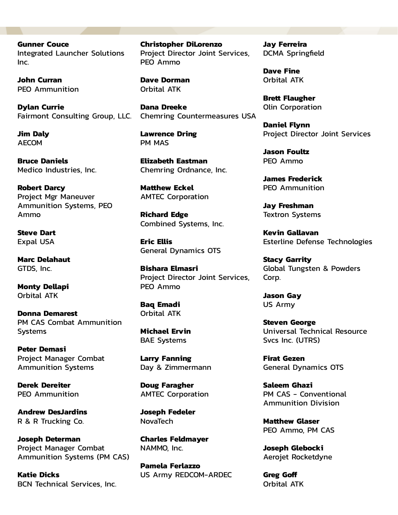**Gunner Couce**  Integrated Launcher Solutions Inc.

**John Curran**  PEO Ammunition

**Dylan Currie**  Fairmont Consulting Group, LLC.

**Jim Daly**  AECOM

**Bruce Daniels**  Medico Industries, Inc.

**Robert Darcy**  Project Mgr Maneuver Ammunition Systems, PEO Ammo

**Steve Dart**  Expal USA

**Marc Delahaut**  GTDS, Inc.

**Monty Dellapi**  Orbital ATK

**Donna Demarest**  PM CAS Combat Ammunition Systems

**Peter Demasi**  Project Manager Combat Ammunition Systems

**Derek Dereiter**  PEO Ammunition

**Andrew DesJardins**  R & R Trucking Co.

**Joseph Determan**  Project Manager Combat Ammunition Systems (PM CAS)

**Katie Dicks**  BCN Technical Services, Inc. **Christopher DiLorenzo**  Project Director Joint Services, PEO Ammo

**Dave Dorman**  Orbital ATK

**Dana Dreeke**  Chemring Countermeasures USA

**Lawrence Dring**  PM MAS

**Elizabeth Eastman**  Chemring Ordnance, Inc.

**Matthew Eckel**  AMTEC Corporation

**Richard Edge**  Combined Systems, Inc.

**Eric Ellis**  General Dynamics OTS

**Bishara Elmasri**  Project Director Joint Services, PEO Ammo

**Baq Emadi**  Orbital ATK

**Michael Ervin**  BAE Systems

**Larry Fanning**  Day & Zimmermann

**Doug Faragher**  AMTEC Corporation

**Joseph Fedeler**  NovaTech

**Charles Feldmayer**  NAMMO, Inc.

**Pamela Ferlazzo**  US Army REDCOM-ARDEC **Jay Ferreira**  DCMA Springfield

**Dave Fine**  Orbital ATK

**Brett Flaugher**  Olin Corporation

**Daniel Flynn**  Project Director Joint Services

**Jason Foultz**  PEO Ammo

**James Frederick**  PEO Ammunition

**Jay Freshman**  Textron Systems

**Kevin Gallavan**  Esterline Defense Technologies

**Stacy Garrity**  Global Tungsten & Powders Corp.

**Jason Gay**  US Army

**Steven George**  Universal Technical Resource Svcs Inc. (UTRS)

**Firat Gezen**  General Dynamics OTS

**Saleem Ghazi**  PM CAS - Conventional Ammunition Division

**Matthew Glaser**  PEO Ammo, PM CAS

**Joseph Glebocki**  Aerojet Rocketdyne

**Greg Goff**  Orbital ATK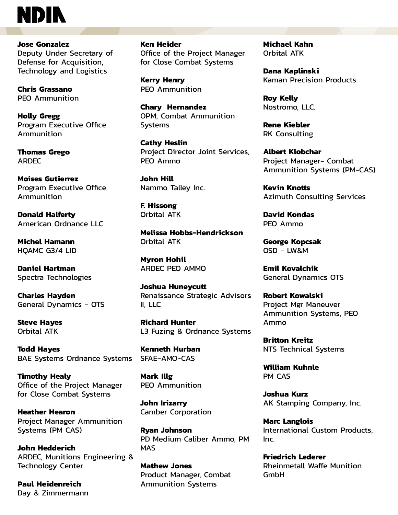**Jose Gonzalez**  Deputy Under Secretary of Defense for Acquisition, Technology and Logistics

**Chris Grassano**  PEO Ammunition

**Holly Gregg**  Program Executive Office Ammunition

**Thomas Grego**  ARDEC

**Moises Gutierrez**  Program Executive Office Ammunition

**Donald Halferty**  American Ordnance LLC

**Michel Hamann**  HQAMC G3/4 LID

**Daniel Hartman**  Spectra Technologies

**Charles Hayden**  General Dynamics - OTS

**Steve Hayes**  Orbital ATK

**Todd Hayes**  BAE Systems Ordnance Systems

**Timothy Healy**  Office of the Project Manager for Close Combat Systems

**Heather Hearon**  Project Manager Ammunition Systems (PM CAS)

**John Hedderich**  ARDEC, Munitions Engineering & Technology Center

**Paul Heidenreich**  Day & Zimmermann **Ken Heider**  Office of the Project Manager for Close Combat Systems

**Kerry Henry**  PEO Ammunition

**Chary Hernandez**  OPM, Combat Ammunition Systems

**Cathy Heslin**  Project Director Joint Services, PEO Ammo

**John Hill**  Nammo Talley Inc.

**F. Hissong**  Orbital ATK

**Melissa Hobbs-Hendrickson**  Orbital ATK

**Myron Hohil**  ARDEC PEO AMMO

**Joshua Huneycutt**  Renaissance Strategic Advisors II, LLC

**Richard Hunter**  L3 Fuzing & Ordnance Systems

**Kenneth Hurban**  SFAE-AMO-CAS

**Mark Illg**  PEO Ammunition

**John Irizarry**  Camber Corporation

**Ryan Johnson**  PD Medium Caliber Ammo, PM MAS

**Mathew Jones**  Product Manager, Combat Ammunition Systems

**Michael Kahn**  Orbital ATK

**Dana Kaplinski**  Kaman Precision Products

**Roy Kelly**  Nostromo, LLC.

**Rene Kiebler**  RK Consulting

**Albert Klobchar**  Project Manager- Combat Ammunition Systems (PM-CAS)

**Kevin Knotts**  Azimuth Consulting Services

**David Kondas**  PEO Ammo

**George Kopcsak**  OSD - LW&M

**Emil Kovalchik**  General Dynamics OTS

**Robert Kowalski**  Project Mgr Maneuver Ammunition Systems, PEO Ammo

**Britton Kreitz**  NTS Technical Systems

**William Kuhnle**  PM CAS

**Joshua Kurz**  AK Stamping Company, Inc.

**Marc Langlois**  International Custom Products, Inc.

**Friedrich Lederer**  Rheinmetall Waffe Munition GmbH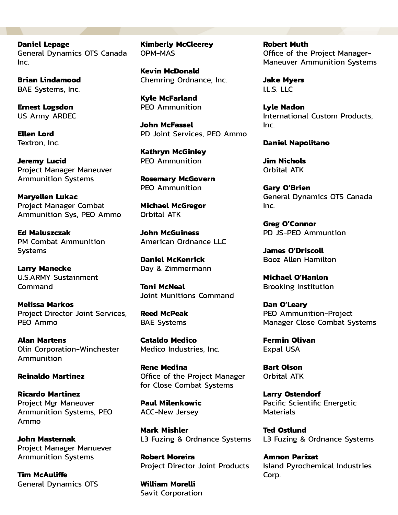**Daniel Lepage**  General Dynamics OTS Canada Inc.

**Brian Lindamood**  BAE Systems, Inc.

**Ernest Logsdon**  US Army ARDEC

**Ellen Lord**  Textron, Inc.

**Jeremy Lucid**  Project Manager Maneuver Ammunition Systems

**Maryellen Lukac**  Project Manager Combat Ammunition Sys, PEO Ammo

**Ed Maluszczak**  PM Combat Ammunition Systems

**Larry Manecke**  U.S.ARMY Sustainment Command

**Melissa Markos**  Project Director Joint Services, PEO Ammo

**Alan Martens**  Olin Corporation-Winchester Ammunition

**Reinaldo Martinez** 

**Ricardo Martinez**  Project Mgr Maneuver Ammunition Systems, PEO Ammo

**John Masternak**  Project Manager Manuever Ammunition Systems

**Tim McAuliffe**  General Dynamics OTS **Kimberly McCleerey**  OPM-MAS

**Kevin McDonald**  Chemring Ordnance, Inc.

**Kyle McFarland**  PEO Ammunition

**John McFassel**  PD Joint Services, PEO Ammo

**Kathryn McGinley**  PEO Ammunition

**Rosemary McGovern**  PEO Ammunition

**Michael McGregor**  Orbital ATK

**John McGuiness**  American Ordnance LLC

**Daniel McKenrick**  Day & Zimmermann

**Toni McNeal**  Joint Munitions Command

**Reed McPeak**  BAE Systems

**Cataldo Medico**  Medico Industries, Inc.

**Rene Medina**  Office of the Project Manager for Close Combat Systems

**Paul Milenkowic**  ACC-New Jersey

**Mark Mishler**  L3 Fuzing & Ordnance Systems

**Robert Moreira**  Project Director Joint Products

**William Morelli**  Savit Corporation **Robert Muth**  Office of the Project Manager-Maneuver Ammunition Systems

**Jake Myers**  I.L.S. LLC

**Lyle Nadon**  International Custom Products, Inc.

**Daniel Napolitano** 

**Jim Nichols**  Orbital ATK

**Gary O'Brien**  General Dynamics OTS Canada Inc.

**Greg O'Connor**  PD JS-PEO Ammuntion

**James O'Driscoll**  Booz Allen Hamilton

**Michael O'Hanlon**  Brooking Institution

**Dan O'Leary**  PEO Ammunition-Project Manager Close Combat Systems

**Fermin Olivan**  Expal USA

**Bart Olson**  Orbital ATK

**Larry Ostendorf**  Pacific Scientific Energetic **Materials** 

**Ted Ostlund**  L3 Fuzing & Ordnance Systems

**Amnon Parizat**  Island Pyrochemical Industries Corp.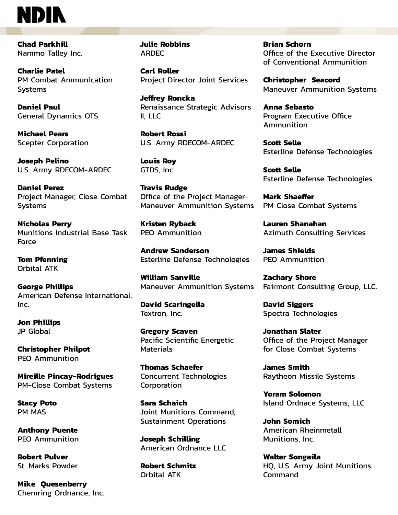**Chad Parkhill**  Nammo Talley Inc.

**Charlie Patel**  PM Combat Ammunication **Systems** 

**Daniel Paul**  General Dynamics OTS

**Michael Pears**  Scepter Corporation

**Joseph Pelino**  U.S. Army RDECOM-ARDEC

**Daniel Perez**  Project Manager, Close Combat **Systems** 

**Nicholas Perry**  Munitions Industrial Base Task Force

**Tom Pfenning**  Orbital ATK

**George Phillips**  American Defense International, Inc.

**Jon Phillips**  JP Global

**Christopher Philpot**  PEO Ammunition

**Mireille Pincay-Rodrigues**  PM-Close Combat Systems

**Stacy Poto**  PM MAS

**Anthony Puente**  PEO Ammunition

**Robert Pulver**  St. Marks Powder

**Mike Quesenberry**  Chemring Ordnance, Inc. **Julie Robbins**  ARDEC

**Carl Roller**  Project Director Joint Services

**Jeffrey Roncka**  Renaissance Strategic Advisors II, LLC

**Robert Rossi**  U.S. Army RDECOM-ARDEC

**Louis Roy**  GTDS, Inc.

**Travis Rudge**  Office of the Project Manager-Maneuver Ammunition Systems

**Kristen Ryback**  PEO Ammunition

**Andrew Sanderson**  Esterline Defense Technologies

**William Sanville**  Maneuver Ammunition Systems

**David Scaringella**  Textron, Inc.

**Gregory Scaven**  Pacific Scientific Energetic **Materials** 

**Thomas Schaefer**  Concurrent Technologies Corporation

**Sara Schaich**  Joint Munitions Command, Sustainment Operations

**Joseph Schilling**  American Ordnance LLC

**Robert Schmitz**  Orbital ATK

**Brian Schorn**  Office of the Executive Director of Conventional Ammunition

**Christopher Seacord**  Maneuver Ammunition Systems

**Anna Sebasto**  Program Executive Office Ammunition

**Scott Selle**  Esterline Defense Technologies

**Scott Selle**  Esterline Defense Technologies

**Mark Shaeffer**  PM Close Combat Systems

**Lauren Shanahan**  Azimuth Consulting Services

**James Shields**  PEO Ammunition

**Zachary Shore**  Fairmont Consulting Group, LLC.

**David Siggers**  Spectra Technologies

**Jonathan Slater**  Office of the Project Manager for Close Combat Systems

**James Smith**  Raytheon Missile Systems

**Yoram Solomon**  Island Ordnace Systems, LLC

**John Somich**  American Rheinmetall Munitions, Inc.

**Walter Songaila**  HQ, U.S. Army Joint Munitions Command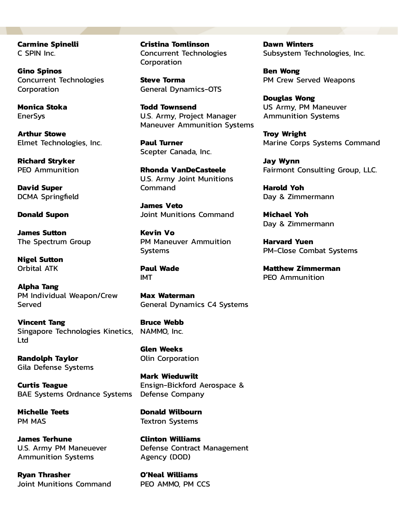**Carmine Spinelli**  C SPIN Inc.

**Gino Spinos**  Concurrent Technologies Corporation

**Monica Stoka EnerSys** 

**Arthur Stowe**  Elmet Technologies, Inc.

**Richard Stryker**  PEO Ammunition

**David Super**  DCMA Springfield

**Donald Supon** 

**James Sutton**  The Spectrum Group

**Nigel Sutton**  Orbital ATK

**Alpha Tang**  PM Individual Weapon/Crew Served

**Vincent Tang**  Singapore Technologies Kinetics, NAMMO, Inc. Ltd

**Randolph Taylor**  Gila Defense Systems

**Curtis Teague**  BAE Systems Ordnance Systems

**Michelle Teets**  PM MAS

**James Terhune**  U.S. Army PM Maneuever Ammunition Systems

**Ryan Thrasher**  Joint Munitions Command **Cristina Tomlinson**  Concurrent Technologies Corporation

**Steve Torma**  General Dynamics-OTS

**Todd Townsend**  U.S. Army, Project Manager Maneuver Ammunition Systems

**Paul Turner**  Scepter Canada, Inc.

**Rhonda VanDeCasteele**  U.S. Army Joint Munitions Command

**James Veto**  Joint Munitions Command

**Kevin Vo**  PM Maneuver Ammuition Systems

**Paul Wade**  IMT

**Max Waterman**  General Dynamics C4 Systems

**Bruce Webb** 

**Glen Weeks**  Olin Corporation

**Mark Wieduwilt**  Ensign-Bickford Aerospace & Defense Company

**Donald Wilbourn**  Textron Systems

**Clinton Williams**  Defense Contract Management Agency (DOD)

**O'Neal Williams**  PEO AMMO, PM CCS **Dawn Winters**  Subsystem Technologies, Inc.

**Ben Wong**  PM Crew Served Weapons

**Douglas Wong**  US Army, PM Maneuver Ammunition Systems

**Troy Wright**  Marine Corps Systems Command

**Jay Wynn**  Fairmont Consulting Group, LLC.

**Harold Yoh**  Day & Zimmermann

**Michael Yoh**  Day & Zimmermann

**Harvard Yuen**  PM-Close Combat Systems

**Matthew Zimmerman**  PEO Ammunition